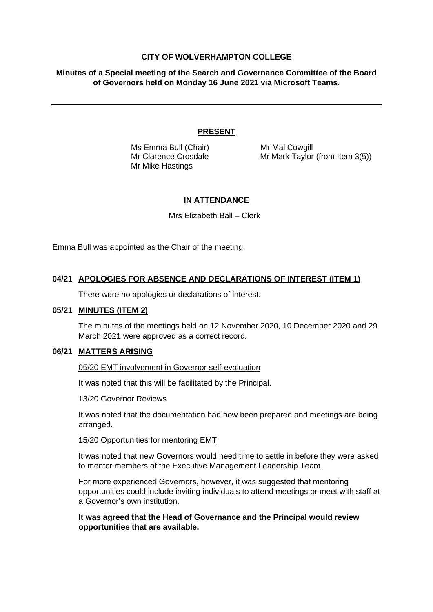### **CITY OF WOLVERHAMPTON COLLEGE**

**Minutes of a Special meeting of the Search and Governance Committee of the Board of Governors held on Monday 16 June 2021 via Microsoft Teams.**

### **PRESENT**

Ms Emma Bull (Chair) Mr Mal Cowgill Mr Mike Hastings

Mr Clarence Crosdale Mr Mark Taylor (from Item 3(5))

## **IN ATTENDANCE**

Mrs Elizabeth Ball – Clerk

Emma Bull was appointed as the Chair of the meeting.

## **04/21 APOLOGIES FOR ABSENCE AND DECLARATIONS OF INTEREST (ITEM 1)**

There were no apologies or declarations of interest.

#### **05/21 MINUTES (ITEM 2)**

The minutes of the meetings held on 12 November 2020, 10 December 2020 and 29 March 2021 were approved as a correct record.

### **06/21 MATTERS ARISING**

05/20 EMT involvement in Governor self-evaluation

It was noted that this will be facilitated by the Principal.

#### 13/20 Governor Reviews

It was noted that the documentation had now been prepared and meetings are being arranged.

#### 15/20 Opportunities for mentoring EMT

It was noted that new Governors would need time to settle in before they were asked to mentor members of the Executive Management Leadership Team.

For more experienced Governors, however, it was suggested that mentoring opportunities could include inviting individuals to attend meetings or meet with staff at a Governor's own institution.

### **It was agreed that the Head of Governance and the Principal would review opportunities that are available.**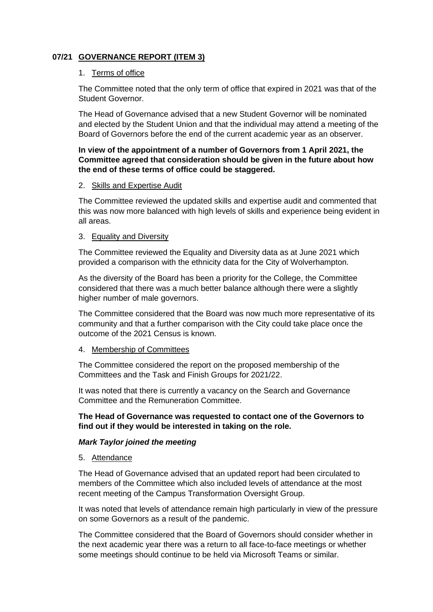# **07/21 GOVERNANCE REPORT (ITEM 3)**

### 1. Terms of office

The Committee noted that the only term of office that expired in 2021 was that of the Student Governor.

The Head of Governance advised that a new Student Governor will be nominated and elected by the Student Union and that the individual may attend a meeting of the Board of Governors before the end of the current academic year as an observer.

## **In view of the appointment of a number of Governors from 1 April 2021, the Committee agreed that consideration should be given in the future about how the end of these terms of office could be staggered.**

### 2. Skills and Expertise Audit

The Committee reviewed the updated skills and expertise audit and commented that this was now more balanced with high levels of skills and experience being evident in all areas.

### 3. Equality and Diversity

The Committee reviewed the Equality and Diversity data as at June 2021 which provided a comparison with the ethnicity data for the City of Wolverhampton.

As the diversity of the Board has been a priority for the College, the Committee considered that there was a much better balance although there were a slightly higher number of male governors.

The Committee considered that the Board was now much more representative of its community and that a further comparison with the City could take place once the outcome of the 2021 Census is known.

## 4. Membership of Committees

The Committee considered the report on the proposed membership of the Committees and the Task and Finish Groups for 2021/22.

It was noted that there is currently a vacancy on the Search and Governance Committee and the Remuneration Committee.

## **The Head of Governance was requested to contact one of the Governors to find out if they would be interested in taking on the role.**

## *Mark Taylor joined the meeting*

#### 5. Attendance

The Head of Governance advised that an updated report had been circulated to members of the Committee which also included levels of attendance at the most recent meeting of the Campus Transformation Oversight Group.

It was noted that levels of attendance remain high particularly in view of the pressure on some Governors as a result of the pandemic.

The Committee considered that the Board of Governors should consider whether in the next academic year there was a return to all face-to-face meetings or whether some meetings should continue to be held via Microsoft Teams or similar.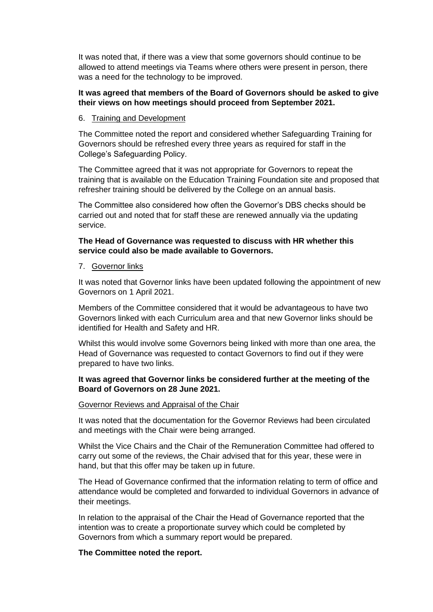It was noted that, if there was a view that some governors should continue to be allowed to attend meetings via Teams where others were present in person, there was a need for the technology to be improved.

## **It was agreed that members of the Board of Governors should be asked to give their views on how meetings should proceed from September 2021.**

## 6. Training and Development

The Committee noted the report and considered whether Safeguarding Training for Governors should be refreshed every three years as required for staff in the College's Safeguarding Policy.

The Committee agreed that it was not appropriate for Governors to repeat the training that is available on the Education Training Foundation site and proposed that refresher training should be delivered by the College on an annual basis.

The Committee also considered how often the Governor's DBS checks should be carried out and noted that for staff these are renewed annually via the updating service.

## **The Head of Governance was requested to discuss with HR whether this service could also be made available to Governors.**

### 7. Governor links

It was noted that Governor links have been updated following the appointment of new Governors on 1 April 2021.

Members of the Committee considered that it would be advantageous to have two Governors linked with each Curriculum area and that new Governor links should be identified for Health and Safety and HR.

Whilst this would involve some Governors being linked with more than one area, the Head of Governance was requested to contact Governors to find out if they were prepared to have two links.

## **It was agreed that Governor links be considered further at the meeting of the Board of Governors on 28 June 2021.**

#### Governor Reviews and Appraisal of the Chair

It was noted that the documentation for the Governor Reviews had been circulated and meetings with the Chair were being arranged.

Whilst the Vice Chairs and the Chair of the Remuneration Committee had offered to carry out some of the reviews, the Chair advised that for this year, these were in hand, but that this offer may be taken up in future.

The Head of Governance confirmed that the information relating to term of office and attendance would be completed and forwarded to individual Governors in advance of their meetings.

In relation to the appraisal of the Chair the Head of Governance reported that the intention was to create a proportionate survey which could be completed by Governors from which a summary report would be prepared.

## **The Committee noted the report.**